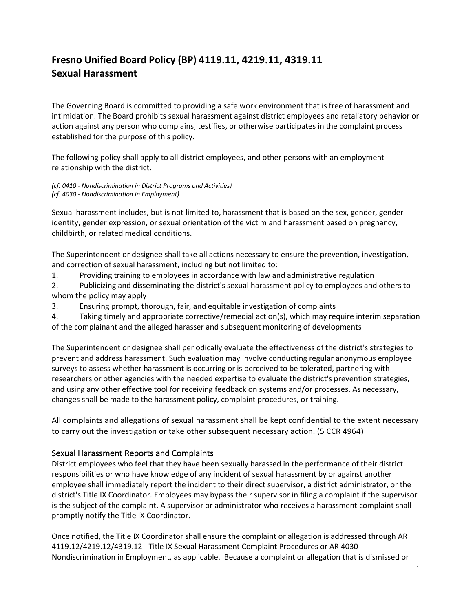## **Fresno Unified Board Policy (BP) 4119.11, 4219.11, 4319.11 Sexual Harassment**

The Governing Board is committed to providing a safe work environment that is free of harassment and intimidation. The Board prohibits sexual harassment against district employees and retaliatory behavior or action against any person who complains, testifies, or otherwise participates in the complaint process established for the purpose of this policy.

The following policy shall apply to all district employees, and other persons with an employment relationship with the district.

*(cf. 0410 - Nondiscrimination in District Programs and Activities) (cf. 4030 - Nondiscrimination in Employment)*

Sexual harassment includes, but is not limited to, harassment that is based on the sex, gender, gender identity, gender expression, or sexual orientation of the victim and harassment based on pregnancy, childbirth, or related medical conditions.

The Superintendent or designee shall take all actions necessary to ensure the prevention, investigation, and correction of sexual harassment, including but not limited to:

1. Providing training to employees in accordance with law and administrative regulation

2. Publicizing and disseminating the district's sexual harassment policy to employees and others to whom the policy may apply

3. Ensuring prompt, thorough, fair, and equitable investigation of complaints

4. Taking timely and appropriate corrective/remedial action(s), which may require interim separation of the complainant and the alleged harasser and subsequent monitoring of developments

The Superintendent or designee shall periodically evaluate the effectiveness of the district's strategies to prevent and address harassment. Such evaluation may involve conducting regular anonymous employee surveys to assess whether harassment is occurring or is perceived to be tolerated, partnering with researchers or other agencies with the needed expertise to evaluate the district's prevention strategies, and using any other effective tool for receiving feedback on systems and/or processes. As necessary, changes shall be made to the harassment policy, complaint procedures, or training.

All complaints and allegations of sexual harassment shall be kept confidential to the extent necessary to carry out the investigation or take other subsequent necessary action. (5 CCR 4964)

## Sexual Harassment Reports and Complaints

District employees who feel that they have been sexually harassed in the performance of their district responsibilities or who have knowledge of any incident of sexual harassment by or against another employee shall immediately report the incident to their direct supervisor, a district administrator, or the district's Title IX Coordinator. Employees may bypass their supervisor in filing a complaint if the supervisor is the subject of the complaint. A supervisor or administrator who receives a harassment complaint shall promptly notify the Title IX Coordinator.

Once notified, the Title IX Coordinator shall ensure the complaint or allegation is addressed through AR 4119.12/4219.12/4319.12 - Title IX Sexual Harassment Complaint Procedures or AR 4030 - Nondiscrimination in Employment, as applicable. Because a complaint or allegation that is dismissed or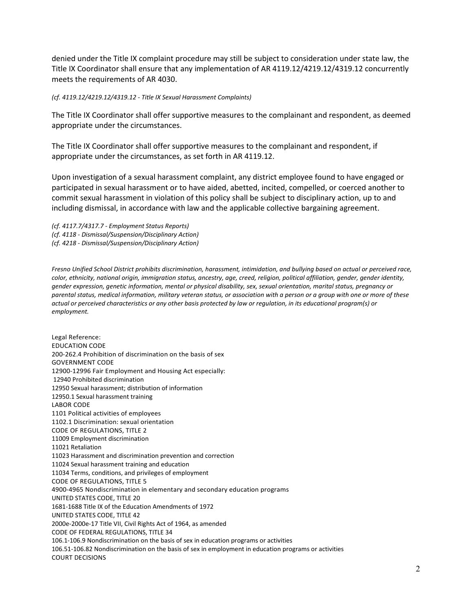denied under the Title IX complaint procedure may still be subject to consideration under state law, the Title IX Coordinator shall ensure that any implementation of AR 4119.12/4219.12/4319.12 concurrently meets the requirements of AR 4030.

## *(cf. 4119.12/4219.12/4319.12 - Title IX Sexual Harassment Complaints)*

The Title IX Coordinator shall offer supportive measures to the complainant and respondent, as deemed appropriate under the circumstances.

The Title IX Coordinator shall offer supportive measures to the complainant and respondent, if appropriate under the circumstances, as set forth in AR 4119.12.

Upon investigation of a sexual harassment complaint, any district employee found to have engaged or participated in sexual harassment or to have aided, abetted, incited, compelled, or coerced another to commit sexual harassment in violation of this policy shall be subject to disciplinary action, up to and including dismissal, in accordance with law and the applicable collective bargaining agreement.

*(cf. 4117.7/4317.7 - Employment Status Reports) (cf. 4118 - Dismissal/Suspension/Disciplinary Action) (cf. 4218 - Dismissal/Suspension/Disciplinary Action)*

*Fresno Unified School District prohibits discrimination, harassment, intimidation, and bullying based on actual or perceived race, color, ethnicity, national origin, immigration status, ancestry, age, creed, religion, political affiliation, gender, gender identity, gender expression, genetic information, mental or physical disability, sex, sexual orientation, marital status, pregnancy or parental status, medical information, military veteran status, or association with a person or a group with one or more of these*  actual or perceived characteristics or any other basis protected by law or regulation, in its educational program(s) or *employment.*

Legal Reference: EDUCATION CODE 200-262.4 Prohibition of discrimination on the basis of sex GOVERNMENT CODE 12900-12996 Fair Employment and Housing Act especially: [12940](http://www.gamutonline.net/displayPolicy/146260/4) Prohibited discrimination [12950](http://www.gamutonline.net/displayPolicy/146414/4) Sexual harassment; distribution of information [12950.1](http://www.gamutonline.net/displayPolicy/376750/4) Sexual harassment training LABOR CODE 1101 Political activities of employees 1102.1 Discrimination: sexual orientation CODE OF REGULATIONS, TITLE 2 11009 Employment discrimination [11021](http://www.gamutonline.net/displayPolicy/980007/4) Retaliation [11023](http://www.gamutonline.net/displayPolicy/980009/4) Harassment and discrimination prevention and correction 11024 Sexual harassment training and education 11034 Terms, conditions, and privileges of employment CODE OF REGULATIONS, TITLE 5 4900-4965 Nondiscrimination in elementary and secondary education programs UNITED STATES CODE, TITLE 20 [1681](http://www.gamutonline.net/displayPolicy/189980/4)[-1688](http://www.gamutonline.net/displayPolicy/189987/4) Title IX of the Education Amendments of 1972 UNITED STATES CODE, TITLE 42 [2000e-2000e-](http://www.gamutonline.net/displayPolicy/191943/4)17 Title VII, Civil Rights Act of 1964, as amended CODE OF FEDERAL REGULATIONS, TITLE 34 [106.1-](http://www.gamutonline.net/displayPolicy/191211/4)[106.9](http://www.gamutonline.net/displayPolicy/274453/4) Nondiscrimination on the basis of sex in education programs or activities [106.51-](http://www.gamutonline.net/displayPolicy/274458/4)106.82 Nondiscrimination on the basis of sex in employment in education programs or activities COURT DECISIONS